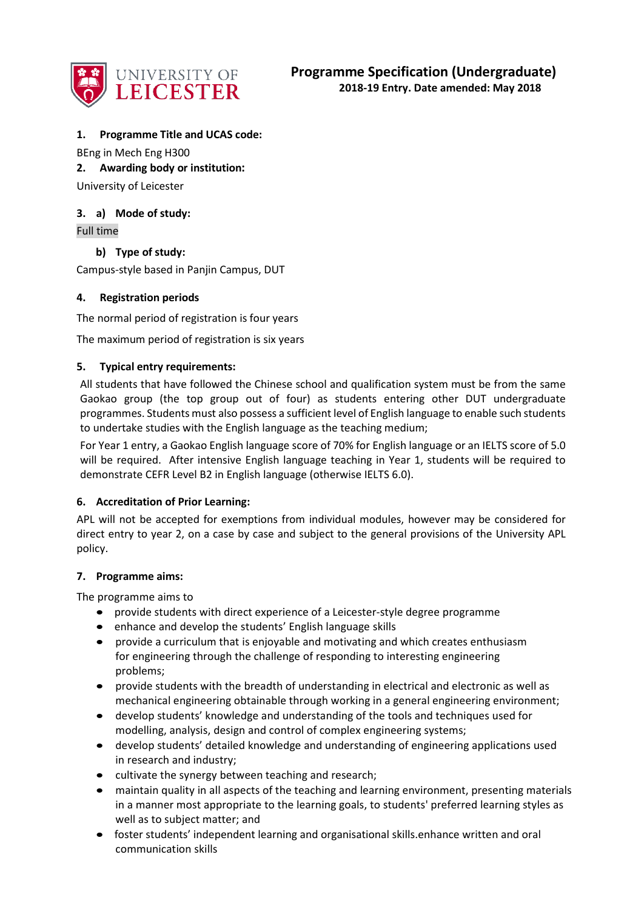

## **1. Programme Title and UCAS code:**

BEng in Mech Eng H300

**2. Awarding body or institution:**

University of Leicester

# **3. a) Mode of study:**

Full time

**b) Type of study:**

Campus-style based in Panjin Campus, DUT

## **4. Registration periods**

The normal period of registration is four years

The maximum period of registration is six years

## **5. Typical entry requirements:**

All students that have followed the Chinese school and qualification system must be from the same Gaokao group (the top group out of four) as students entering other DUT undergraduate programmes. Students must also possess a sufficient level of English language to enable such students to undertake studies with the English language as the teaching medium;

For Year 1 entry, a Gaokao English language score of 70% for English language or an IELTS score of 5.0 will be required. After intensive English language teaching in Year 1, students will be required to demonstrate CEFR Level B2 in English language (otherwise IELTS 6.0).

#### **6. Accreditation of Prior Learning:**

APL will not be accepted for exemptions from individual modules, however may be considered for direct entry to year 2, on a case by case and subject to the general provisions of the University APL policy.

#### **7. Programme aims:**

The programme aims to

- provide students with direct experience of a Leicester-style degree programme
- enhance and develop the students' English language skills
- provide a curriculum that is enjoyable and motivating and which creates enthusiasm for engineering through the challenge of responding to interesting engineering problems;
- provide students with the breadth of understanding in electrical and electronic as well as mechanical engineering obtainable through working in a general engineering environment;
- develop students' knowledge and understanding of the tools and techniques used for modelling, analysis, design and control of complex engineering systems;
- develop students' detailed knowledge and understanding of engineering applications used in research and industry;
- cultivate the synergy between teaching and research;
- maintain quality in all aspects of the teaching and learning environment, presenting materials in a manner most appropriate to the learning goals, to students' preferred learning styles as well as to subject matter; and
- foster students' independent learning and organisational skills.enhance written and oral communication skills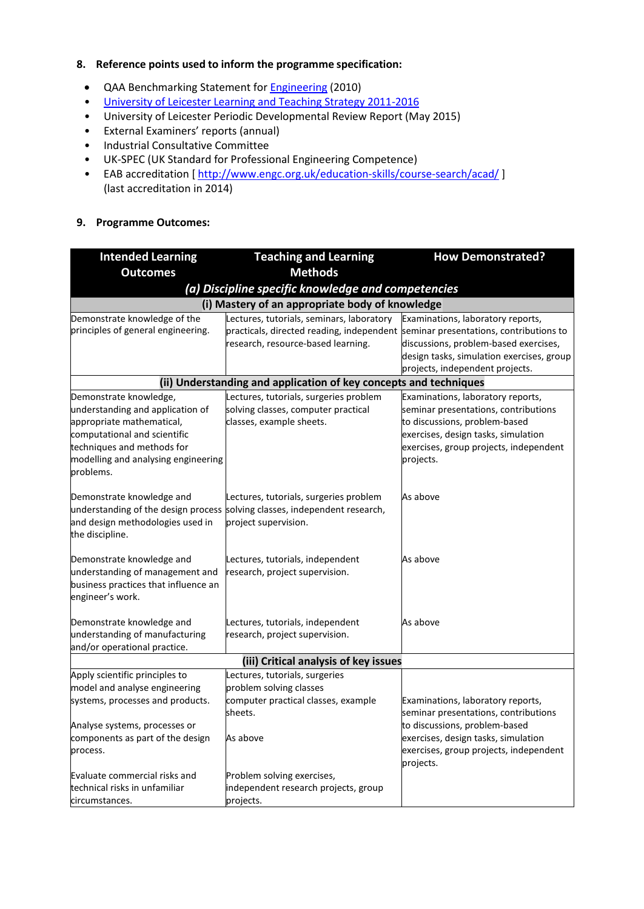#### **8. Reference points used to inform the programme specification:**

- QAA Benchmarking Statement for **Engineering** (2010)
- [University of Leicester Learning and Teaching Strategy 2011-2016](http://www2.le.ac.uk/offices/sas2/quality/learnteach)
- University of Leicester Periodic Developmental Review Report (May 2015)
- External Examiners' reports (annual)
- Industrial Consultative Committee
- UK-SPEC (UK Standard for Professional Engineering Competence)
- EAB accreditation [<http://www.engc.org.uk/education-skills/course-search/acad/>] (last accreditation in 2014)

## **9. Programme Outcomes:**

| <b>Intended Learning</b>                                                                                                                                                                                  | <b>Teaching and Learning</b>                                                                                                                                         | <b>How Demonstrated?</b>                                                                                                                                                                                 |  |  |  |  |  |  |  |  |  |
|-----------------------------------------------------------------------------------------------------------------------------------------------------------------------------------------------------------|----------------------------------------------------------------------------------------------------------------------------------------------------------------------|----------------------------------------------------------------------------------------------------------------------------------------------------------------------------------------------------------|--|--|--|--|--|--|--|--|--|
| <b>Outcomes</b>                                                                                                                                                                                           | <b>Methods</b>                                                                                                                                                       |                                                                                                                                                                                                          |  |  |  |  |  |  |  |  |  |
| (a) Discipline specific knowledge and competencies                                                                                                                                                        |                                                                                                                                                                      |                                                                                                                                                                                                          |  |  |  |  |  |  |  |  |  |
|                                                                                                                                                                                                           | (i) Mastery of an appropriate body of knowledge                                                                                                                      |                                                                                                                                                                                                          |  |  |  |  |  |  |  |  |  |
| Demonstrate knowledge of the<br>principles of general engineering.                                                                                                                                        | Lectures, tutorials, seminars, laboratory<br>practicals, directed reading, independent seminar presentations, contributions to<br>research, resource-based learning. | Examinations, laboratory reports,<br>discussions, problem-based exercises,<br>design tasks, simulation exercises, group<br>projects, independent projects.                                               |  |  |  |  |  |  |  |  |  |
| (ii) Understanding and application of key concepts and techniques                                                                                                                                         |                                                                                                                                                                      |                                                                                                                                                                                                          |  |  |  |  |  |  |  |  |  |
| Demonstrate knowledge,<br>understanding and application of<br>appropriate mathematical,<br>computational and scientific<br>techniques and methods for<br>modelling and analysing engineering<br>problems. | Lectures, tutorials, surgeries problem<br>solving classes, computer practical<br>classes, example sheets.                                                            | Examinations, laboratory reports,<br>seminar presentations, contributions<br>to discussions, problem-based<br>exercises, design tasks, simulation<br>exercises, group projects, independent<br>projects. |  |  |  |  |  |  |  |  |  |
| Demonstrate knowledge and<br>understanding of the design process<br>and design methodologies used in<br>the discipline.                                                                                   | Lectures, tutorials, surgeries problem<br>solving classes, independent research,<br>project supervision.                                                             | As above                                                                                                                                                                                                 |  |  |  |  |  |  |  |  |  |
| Demonstrate knowledge and<br>understanding of management and<br>business practices that influence an<br>engineer's work.                                                                                  | Lectures, tutorials, independent<br>research, project supervision.                                                                                                   | As above                                                                                                                                                                                                 |  |  |  |  |  |  |  |  |  |
| Demonstrate knowledge and<br>understanding of manufacturing<br>and/or operational practice.                                                                                                               | Lectures, tutorials, independent<br>research, project supervision.                                                                                                   | As above                                                                                                                                                                                                 |  |  |  |  |  |  |  |  |  |
|                                                                                                                                                                                                           | (iii) Critical analysis of key issues                                                                                                                                |                                                                                                                                                                                                          |  |  |  |  |  |  |  |  |  |
| Apply scientific principles to<br>model and analyse engineering<br>systems, processes and products.<br>Analyse systems, processes or                                                                      | Lectures, tutorials, surgeries<br>problem solving classes<br>computer practical classes, example<br>sheets.                                                          | Examinations, laboratory reports,<br>seminar presentations, contributions<br>to discussions, problem-based                                                                                               |  |  |  |  |  |  |  |  |  |
| components as part of the design<br>process.                                                                                                                                                              | As above                                                                                                                                                             | exercises, design tasks, simulation<br>exercises, group projects, independent<br>projects.                                                                                                               |  |  |  |  |  |  |  |  |  |
| Evaluate commercial risks and<br>technical risks in unfamiliar<br>circumstances.                                                                                                                          | Problem solving exercises,<br>independent research projects, group<br>projects.                                                                                      |                                                                                                                                                                                                          |  |  |  |  |  |  |  |  |  |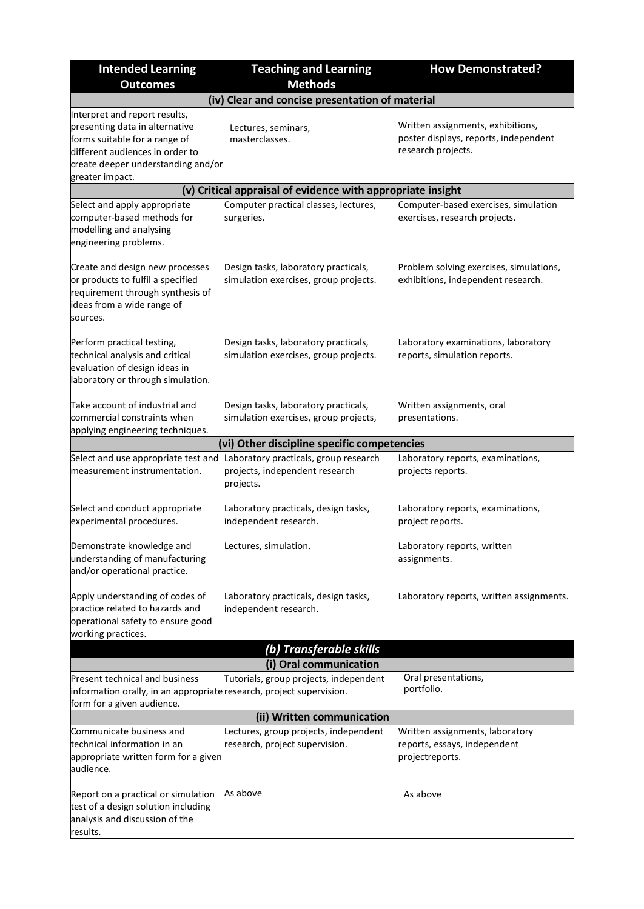| <b>Intended Learning</b>                                                                                                                                                                     | <b>Teaching and Learning</b>                                                         | <b>How Demonstrated?</b>                                                                         |  |  |  |  |  |
|----------------------------------------------------------------------------------------------------------------------------------------------------------------------------------------------|--------------------------------------------------------------------------------------|--------------------------------------------------------------------------------------------------|--|--|--|--|--|
| <b>Outcomes</b>                                                                                                                                                                              | <b>Methods</b>                                                                       |                                                                                                  |  |  |  |  |  |
|                                                                                                                                                                                              | (iv) Clear and concise presentation of material                                      |                                                                                                  |  |  |  |  |  |
| Interpret and report results,<br>presenting data in alternative<br>forms suitable for a range of<br>different audiences in order to<br>create deeper understanding and/or<br>greater impact. | Lectures, seminars,<br>masterclasses.                                                | Written assignments, exhibitions,<br>poster displays, reports, independent<br>research projects. |  |  |  |  |  |
|                                                                                                                                                                                              | (v) Critical appraisal of evidence with appropriate insight                          |                                                                                                  |  |  |  |  |  |
| Select and apply appropriate<br>computer-based methods for<br>modelling and analysing<br>engineering problems.                                                                               | Computer practical classes, lectures,<br>surgeries.                                  | Computer-based exercises, simulation<br>exercises, research projects.                            |  |  |  |  |  |
| Create and design new processes<br>or products to fulfil a specified<br>requirement through synthesis of<br>ideas from a wide range of<br>sources.                                           | Design tasks, laboratory practicals,<br>simulation exercises, group projects.        | Problem solving exercises, simulations,<br>exhibitions, independent research.                    |  |  |  |  |  |
| Perform practical testing,<br>technical analysis and critical<br>evaluation of design ideas in<br>laboratory or through simulation.                                                          | Design tasks, laboratory practicals,<br>simulation exercises, group projects.        | Laboratory examinations, laboratory<br>reports, simulation reports.                              |  |  |  |  |  |
| Take account of industrial and<br>commercial constraints when<br>applying engineering techniques.                                                                                            | Design tasks, laboratory practicals,<br>simulation exercises, group projects,        | Written assignments, oral<br>presentations.                                                      |  |  |  |  |  |
|                                                                                                                                                                                              | (vi) Other discipline specific competencies                                          |                                                                                                  |  |  |  |  |  |
| Select and use appropriate test and<br>measurement instrumentation.                                                                                                                          | Laboratory practicals, group research<br>projects, independent research<br>projects. | Laboratory reports, examinations,<br>projects reports.                                           |  |  |  |  |  |
| Select and conduct appropriate<br>experimental procedures.                                                                                                                                   | Laboratory practicals, design tasks,<br>independent research.                        | Laboratory reports, examinations,<br>project reports.                                            |  |  |  |  |  |
| Demonstrate knowledge and<br>understanding of manufacturing<br>and/or operational practice.                                                                                                  | Lectures, simulation.                                                                | Laboratory reports, written<br>assignments.                                                      |  |  |  |  |  |
| Apply understanding of codes of<br>practice related to hazards and<br>operational safety to ensure good<br>working practices.                                                                | Laboratory practicals, design tasks,<br>independent research.                        | Laboratory reports, written assignments.                                                         |  |  |  |  |  |
|                                                                                                                                                                                              | (b) Transferable skills                                                              |                                                                                                  |  |  |  |  |  |
|                                                                                                                                                                                              | (i) Oral communication                                                               |                                                                                                  |  |  |  |  |  |
| <b>Present technical and business</b><br>information orally, in an appropriate research, project supervision.<br>form for a given audience.                                                  | Tutorials, group projects, independent                                               | Oral presentations,<br>portfolio.                                                                |  |  |  |  |  |
| Communicate business and                                                                                                                                                                     | (ii) Written communication                                                           |                                                                                                  |  |  |  |  |  |
| technical information in an<br>appropriate written form for a given<br>audience.                                                                                                             | Lectures, group projects, independent<br>research, project supervision.              | Written assignments, laboratory<br>reports, essays, independent<br>projectreports.               |  |  |  |  |  |
| Report on a practical or simulation<br>test of a design solution including<br>analysis and discussion of the<br>results.                                                                     | As above                                                                             | As above                                                                                         |  |  |  |  |  |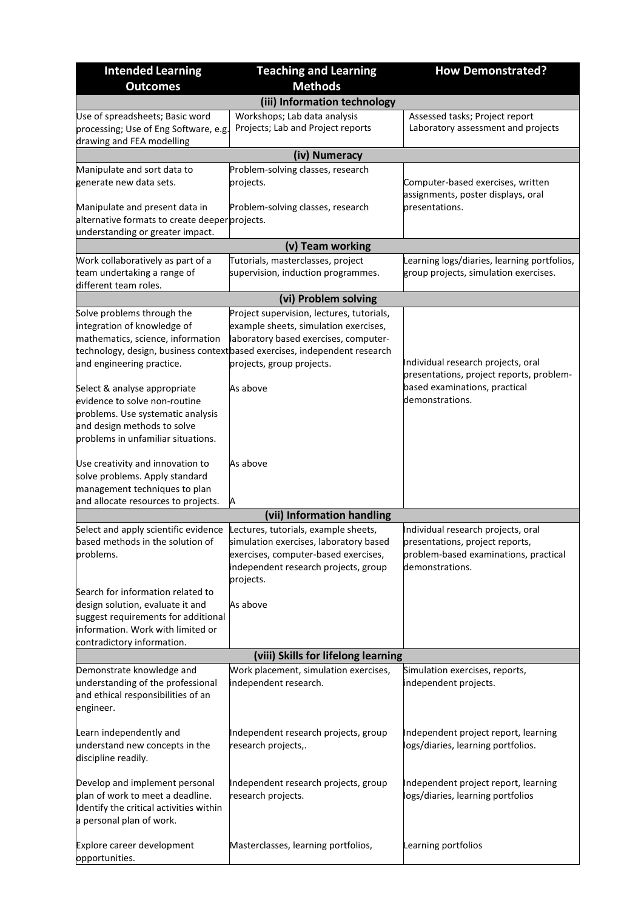| <b>Intended Learning</b>                                                                                                                                                        | <b>Teaching and Learning</b>                                                                                                                                                | <b>How Demonstrated?</b>                                                                                                          |  |  |  |  |  |
|---------------------------------------------------------------------------------------------------------------------------------------------------------------------------------|-----------------------------------------------------------------------------------------------------------------------------------------------------------------------------|-----------------------------------------------------------------------------------------------------------------------------------|--|--|--|--|--|
| <b>Outcomes</b>                                                                                                                                                                 | <b>Methods</b>                                                                                                                                                              |                                                                                                                                   |  |  |  |  |  |
|                                                                                                                                                                                 | (iii) Information technology                                                                                                                                                |                                                                                                                                   |  |  |  |  |  |
| Use of spreadsheets; Basic word<br>processing; Use of Eng Software, e.g.<br>drawing and FEA modelling                                                                           | Workshops; Lab data analysis<br>Projects; Lab and Project reports                                                                                                           | Assessed tasks; Project report<br>Laboratory assessment and projects                                                              |  |  |  |  |  |
|                                                                                                                                                                                 | (iv) Numeracy                                                                                                                                                               |                                                                                                                                   |  |  |  |  |  |
| Manipulate and sort data to<br>generate new data sets.                                                                                                                          | Problem-solving classes, research<br>projects.                                                                                                                              | Computer-based exercises, written<br>assignments, poster displays, oral                                                           |  |  |  |  |  |
| Manipulate and present data in<br>alternative formats to create deeper projects.<br>understanding or greater impact.                                                            | Problem-solving classes, research                                                                                                                                           | presentations.                                                                                                                    |  |  |  |  |  |
|                                                                                                                                                                                 | (v) Team working                                                                                                                                                            |                                                                                                                                   |  |  |  |  |  |
| Work collaboratively as part of a                                                                                                                                               | Tutorials, masterclasses, project                                                                                                                                           | Learning logs/diaries, learning portfolios,                                                                                       |  |  |  |  |  |
| team undertaking a range of<br>different team roles.                                                                                                                            | supervision, induction programmes.                                                                                                                                          | group projects, simulation exercises.                                                                                             |  |  |  |  |  |
|                                                                                                                                                                                 | (vi) Problem solving                                                                                                                                                        |                                                                                                                                   |  |  |  |  |  |
| Solve problems through the<br>integration of knowledge of<br>mathematics, science, information                                                                                  | Project supervision, lectures, tutorials,<br>example sheets, simulation exercises,<br>laboratory based exercises, computer-                                                 |                                                                                                                                   |  |  |  |  |  |
| and engineering practice.                                                                                                                                                       | technology, design, business contextbased exercises, independent research<br>projects, group projects.                                                                      | Individual research projects, oral<br>presentations, project reports, problem-                                                    |  |  |  |  |  |
| Select & analyse appropriate<br>evidence to solve non-routine<br>problems. Use systematic analysis<br>and design methods to solve<br>problems in unfamiliar situations.         | As above                                                                                                                                                                    | based examinations, practical<br>demonstrations.                                                                                  |  |  |  |  |  |
| Use creativity and innovation to<br>solve problems. Apply standard<br>management techniques to plan<br>and allocate resources to projects.                                      | As above<br>Α                                                                                                                                                               |                                                                                                                                   |  |  |  |  |  |
|                                                                                                                                                                                 | (vii) Information handling                                                                                                                                                  |                                                                                                                                   |  |  |  |  |  |
| Select and apply scientific evidence<br>based methods in the solution of<br>problems.                                                                                           | Lectures, tutorials, example sheets,<br>simulation exercises, laboratory based<br>exercises, computer-based exercises,<br>independent research projects, group<br>projects. | Individual research projects, oral<br>presentations, project reports,<br>problem-based examinations, practical<br>demonstrations. |  |  |  |  |  |
| Search for information related to<br>design solution, evaluate it and<br>suggest requirements for additional<br>information. Work with limited or<br>contradictory information. | As above                                                                                                                                                                    |                                                                                                                                   |  |  |  |  |  |
|                                                                                                                                                                                 | (viii) Skills for lifelong learning                                                                                                                                         |                                                                                                                                   |  |  |  |  |  |
| Demonstrate knowledge and<br>understanding of the professional<br>and ethical responsibilities of an<br>engineer.                                                               | Work placement, simulation exercises,<br>independent research.                                                                                                              | Simulation exercises, reports,<br>independent projects.                                                                           |  |  |  |  |  |
| Learn independently and<br>understand new concepts in the<br>discipline readily.                                                                                                | Independent research projects, group<br>research projects,.                                                                                                                 | Independent project report, learning<br>logs/diaries, learning portfolios.                                                        |  |  |  |  |  |
| Develop and implement personal<br>plan of work to meet a deadline.<br>Identify the critical activities within<br>a personal plan of work.                                       | Independent research projects, group<br>research projects.                                                                                                                  | Independent project report, learning<br>logs/diaries, learning portfolios                                                         |  |  |  |  |  |
| Explore career development<br>opportunities.                                                                                                                                    | Masterclasses, learning portfolios,                                                                                                                                         | Learning portfolios                                                                                                               |  |  |  |  |  |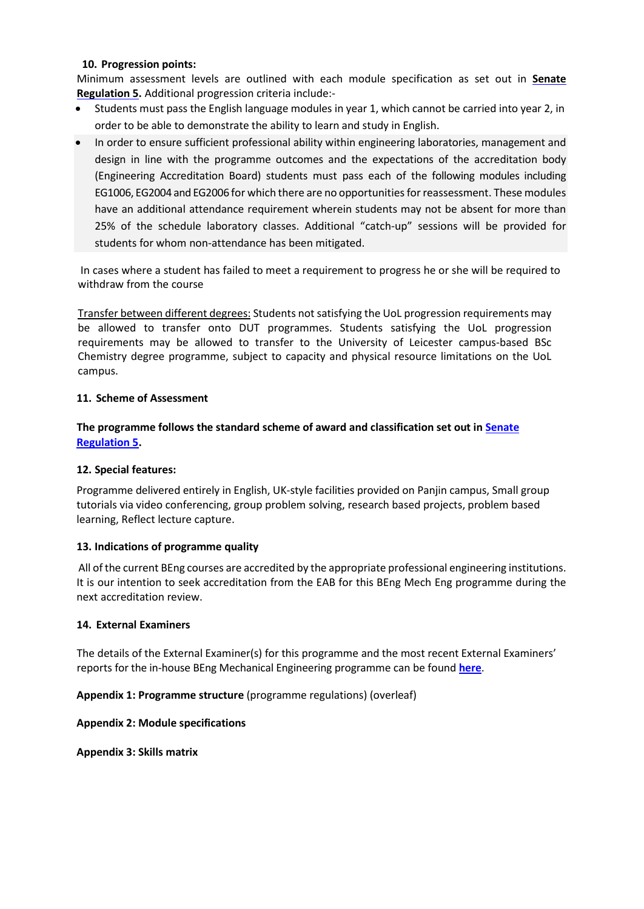#### **10. Progression points:**

Minimum assessment levels are outlined with each module specification as set out in **[Senate](http://www2.le.ac.uk/offices/sas2/regulations/general-regulations-for-taught-programmes) [Regulation 5.](http://www2.le.ac.uk/offices/sas2/regulations/general-regulations-for-taught-programmes)** Additional progression criteria include:-

- Students must pass the English language modules in year 1, which cannot be carried into year 2, in order to be able to demonstrate the ability to learn and study in English.
- In order to ensure sufficient professional ability within engineering laboratories, management and design in line with the programme outcomes and the expectations of the accreditation body (Engineering Accreditation Board) students must pass each of the following modules including EG1006, EG2004 and EG2006 for which there are no opportunities for reassessment. These modules have an additional attendance requirement wherein students may not be absent for more than 25% of the schedule laboratory classes. Additional "catch-up" sessions will be provided for students for whom non-attendance has been mitigated.

In cases where a student has failed to meet a requirement to progress he or she will be required to withdraw from the course

Transfer between different degrees: Students not satisfying the UoL progression requirements may be allowed to transfer onto DUT programmes. Students satisfying the UoL progression requirements may be allowed to transfer to the University of Leicester campus-based BSc Chemistry degree programme, subject to capacity and physical resource limitations on the UoL campus.

#### **11. Scheme of Assessment**

**The programme follows the standard scheme of award and classification set out in [Senate](http://www2.le.ac.uk/offices/sas2/regulations/general-regulations-for-taught-programmes) [Regulation 5.](http://www2.le.ac.uk/offices/sas2/regulations/general-regulations-for-taught-programmes)**

#### **12. Special features:**

Programme delivered entirely in English, UK-style facilities provided on Panjin campus, Small group tutorials via video conferencing, group problem solving, research based projects, problem based learning, Reflect lecture capture.

#### **13. Indications of programme quality**

 All of the current BEng courses are accredited by the appropriate professional engineering institutions. It is our intention to seek accreditation from the EAB for this BEng Mech Eng programme during the next accreditation review.

#### **14. External Examiners**

The details of the External Examiner(s) for this programme and the most recent External Examiners' reports for the in-house BEng Mechanical Engineering programme can be found **[here](https://exampapers.le.ac.uk/xmlui/handle/123456789/209)**.

**Appendix 1: Programme structure** (programme regulations) (overleaf)

#### **Appendix 2: Module specifications**

**Appendix 3: Skills matrix**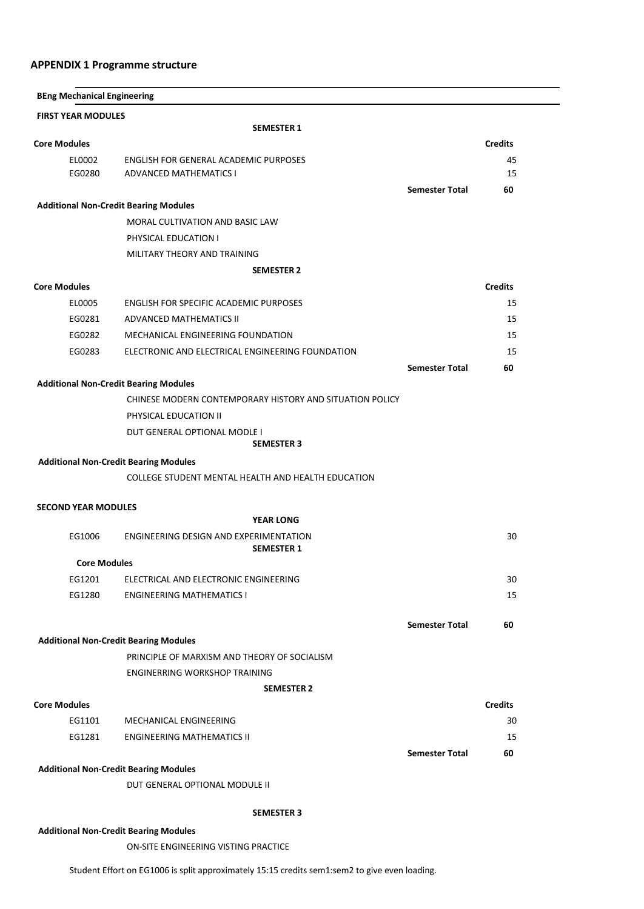### **APPENDIX 1 Programme structure**

| <b>BEng Mechanical Engineering</b>           |                                                          |                       |                |
|----------------------------------------------|----------------------------------------------------------|-----------------------|----------------|
| <b>FIRST YEAR MODULES</b>                    |                                                          |                       |                |
|                                              | <b>SEMESTER 1</b>                                        |                       |                |
| <b>Core Modules</b>                          |                                                          |                       | <b>Credits</b> |
| EL0002                                       | ENGLISH FOR GENERAL ACADEMIC PURPOSES                    |                       | 45             |
| EG0280                                       | <b>ADVANCED MATHEMATICS I</b>                            |                       | 15             |
|                                              |                                                          | <b>Semester Total</b> | 60             |
| <b>Additional Non-Credit Bearing Modules</b> |                                                          |                       |                |
|                                              | MORAL CULTIVATION AND BASIC LAW                          |                       |                |
|                                              | PHYSICAL EDUCATION I                                     |                       |                |
|                                              | MILITARY THEORY AND TRAINING                             |                       |                |
|                                              | <b>SEMESTER 2</b>                                        |                       |                |
| <b>Core Modules</b>                          |                                                          |                       | <b>Credits</b> |
| EL0005                                       | ENGLISH FOR SPECIFIC ACADEMIC PURPOSES                   |                       | 15             |
| EG0281                                       | ADVANCED MATHEMATICS II                                  |                       | 15             |
| EG0282                                       | MECHANICAL ENGINEERING FOUNDATION                        |                       | 15             |
| EG0283                                       | ELECTRONIC AND ELECTRICAL ENGINEERING FOUNDATION         |                       | 15             |
|                                              |                                                          | <b>Semester Total</b> | 60             |
| <b>Additional Non-Credit Bearing Modules</b> |                                                          |                       |                |
|                                              | CHINESE MODERN CONTEMPORARY HISTORY AND SITUATION POLICY |                       |                |
|                                              | PHYSICAL EDUCATION II                                    |                       |                |
|                                              | DUT GENERAL OPTIONAL MODLE I<br><b>SEMESTER 3</b>        |                       |                |
|                                              | <b>Additional Non-Credit Bearing Modules</b>             |                       |                |
|                                              | COLLEGE STUDENT MENTAL HEALTH AND HEALTH EDUCATION       |                       |                |
|                                              |                                                          |                       |                |
| <b>SECOND YEAR MODULES</b>                   |                                                          |                       |                |
|                                              | <b>YEAR LONG</b>                                         |                       |                |
| EG1006                                       | ENGINEERING DESIGN AND EXPERIMENTATION                   |                       | 30             |
|                                              | <b>SEMESTER 1</b>                                        |                       |                |
| <b>Core Modules</b>                          |                                                          |                       |                |
| EG1201                                       | ELECTRICAL AND ELECTRONIC ENGINEERING                    |                       | 30             |
| EG1280                                       | <b>ENGINEERING MATHEMATICS I</b>                         |                       | 15             |
|                                              |                                                          | <b>Semester Total</b> | 60             |
|                                              | <b>Additional Non-Credit Bearing Modules</b>             |                       |                |
|                                              | PRINCIPLE OF MARXISM AND THEORY OF SOCIALISM             |                       |                |
|                                              | ENGINERRING WORKSHOP TRAINING                            |                       |                |
|                                              | <b>SEMESTER 2</b>                                        |                       |                |
| <b>Core Modules</b>                          |                                                          |                       | <b>Credits</b> |
| EG1101                                       | MECHANICAL ENGINEERING                                   |                       | 30             |
| EG1281                                       | <b>ENGINEERING MATHEMATICS II</b>                        |                       | 15             |
|                                              |                                                          | <b>Semester Total</b> | 60             |
|                                              | <b>Additional Non-Credit Bearing Modules</b>             |                       |                |
|                                              | DUT GENERAL OPTIONAL MODULE II                           |                       |                |
|                                              |                                                          |                       |                |
|                                              | <b>SEMESTER 3</b>                                        |                       |                |
|                                              | <b>Additional Non-Credit Bearing Modules</b>             |                       |                |
|                                              | ON-SITE ENGINEERING VISTING PRACTICE                     |                       |                |

Student Effort on EG1006 is split approximately 15:15 credits sem1:sem2 to give even loading.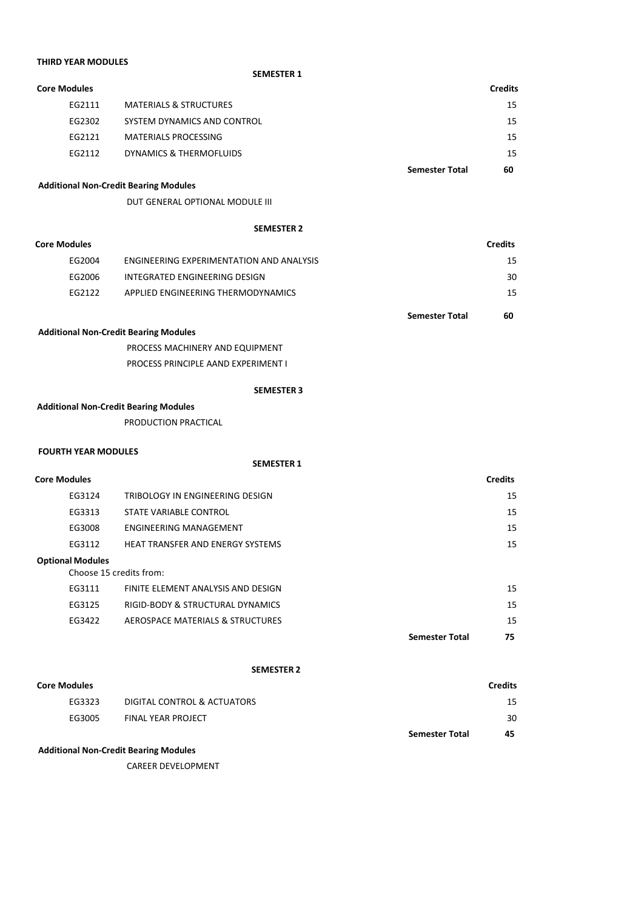| <b>THIRD YEAR MODULES</b>  |                                              |                |
|----------------------------|----------------------------------------------|----------------|
|                            | <b>SEMESTER 1</b>                            |                |
| <b>Core Modules</b>        |                                              | <b>Credits</b> |
| EG2111                     | <b>MATERIALS &amp; STRUCTURES</b>            | 15             |
| EG2302                     | SYSTEM DYNAMICS AND CONTROL                  | 15             |
| EG2121                     | <b>MATERIALS PROCESSING</b>                  | 15             |
| EG2112                     | DYNAMICS & THERMOFLUIDS                      | 15             |
|                            | <b>Semester Total</b>                        | 60             |
|                            | <b>Additional Non-Credit Bearing Modules</b> |                |
|                            | DUT GENERAL OPTIONAL MODULE III              |                |
|                            | <b>SEMESTER 2</b>                            |                |
| <b>Core Modules</b>        |                                              | <b>Credits</b> |
| EG2004                     | ENGINEERING EXPERIMENTATION AND ANALYSIS     | 15             |
| EG2006                     | INTEGRATED ENGINEERING DESIGN                | 30             |
| EG2122                     | APPLIED ENGINEERING THERMODYNAMICS           | 15             |
|                            |                                              |                |
|                            | <b>Semester Total</b>                        | 60             |
|                            | <b>Additional Non-Credit Bearing Modules</b> |                |
|                            | PROCESS MACHINERY AND EQUIPMENT              |                |
|                            | PROCESS PRINCIPLE AAND EXPERIMENT I          |                |
|                            | <b>SEMESTER 3</b>                            |                |
|                            | <b>Additional Non-Credit Bearing Modules</b> |                |
|                            | PRODUCTION PRACTICAL                         |                |
|                            |                                              |                |
| <b>FOURTH YEAR MODULES</b> | <b>SEMESTER 1</b>                            |                |
| <b>Core Modules</b>        |                                              | <b>Credits</b> |
| EG3124                     | TRIBOLOGY IN ENGINEERING DESIGN              | 15             |
| EG3313                     | STATE VARIABLE CONTROL                       | 15             |
| EG3008                     | <b>ENGINEERING MANAGEMENT</b>                | 15             |
| EG3112                     | HEAT TRANSFER AND ENERGY SYSTEMS             | 15             |
| <b>Optional Modules</b>    |                                              |                |
|                            | Choose 15 credits from:                      |                |
| EG3111                     | FINITE ELEMENT ANALYSIS AND DESIGN           | 15             |
| EG3125                     | RIGID-BODY & STRUCTURAL DYNAMICS             | 15             |
| EG3422                     | AEROSPACE MATERIALS & STRUCTURES             | 15             |
|                            | <b>Semester Total</b>                        | 75             |
|                            | <b>SEMESTER 2</b>                            |                |
| <b>Core Modules</b>        |                                              | <b>Credits</b> |
| EG3323                     | DIGITAL CONTROL & ACTUATORS                  | 15             |

EG3005 FINAL YEAR PROJECT 30

**Semester Total 45**

### **Additional Non-Credit Bearing Modules**

CAREER DEVELOPMENT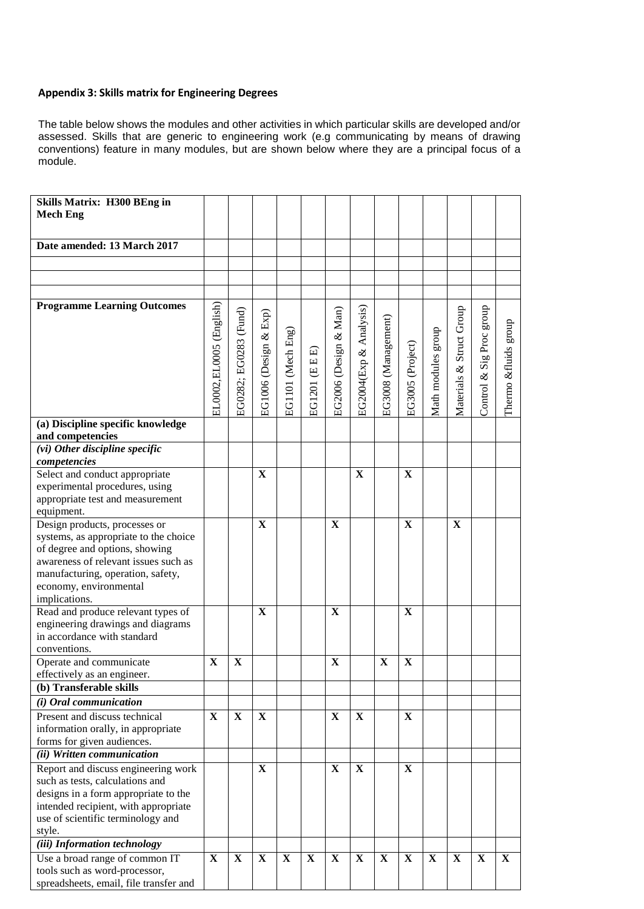## **Appendix 3: Skills matrix for Engineering Degrees**

The table below shows the modules and other activities in which particular skills are developed and/or assessed. Skills that are generic to engineering work (e.g communicating by means of drawing conventions) feature in many modules, but are shown below where they are a principal focus of a module.

| <b>Skills Matrix: H300 BEng in</b>             |                         |                       |                       |                   |                                   |                       |                        |                     |                  |                    |                          |                          |                      |
|------------------------------------------------|-------------------------|-----------------------|-----------------------|-------------------|-----------------------------------|-----------------------|------------------------|---------------------|------------------|--------------------|--------------------------|--------------------------|----------------------|
| <b>Mech Eng</b>                                |                         |                       |                       |                   |                                   |                       |                        |                     |                  |                    |                          |                          |                      |
|                                                |                         |                       |                       |                   |                                   |                       |                        |                     |                  |                    |                          |                          |                      |
| Date amended: 13 March 2017                    |                         |                       |                       |                   |                                   |                       |                        |                     |                  |                    |                          |                          |                      |
|                                                |                         |                       |                       |                   |                                   |                       |                        |                     |                  |                    |                          |                          |                      |
|                                                |                         |                       |                       |                   |                                   |                       |                        |                     |                  |                    |                          |                          |                      |
|                                                |                         |                       |                       |                   |                                   |                       |                        |                     |                  |                    |                          |                          |                      |
| <b>Programme Learning Outcomes</b>             |                         |                       |                       |                   |                                   |                       |                        |                     |                  |                    |                          |                          |                      |
|                                                | EL0002,EL0005 (English) | EG0282; EG0283 (Fund) | EG1006 (Design & Exp) |                   |                                   | EG2006 (Design & Man) | EG2004(Exp & Analysis) |                     |                  |                    | Materials & Struct Group | Control & Sig Proc group |                      |
|                                                |                         |                       |                       | EG1101 (Mech Eng) |                                   |                       |                        | EG3008 (Management) |                  | Math modules group |                          |                          | Thermo &fluids group |
|                                                |                         |                       |                       |                   | 回                                 |                       |                        |                     |                  |                    |                          |                          |                      |
|                                                |                         |                       |                       |                   | $\begin{bmatrix} 1 \end{bmatrix}$ |                       |                        |                     |                  |                    |                          |                          |                      |
|                                                |                         |                       |                       |                   | $\equiv$                          |                       |                        |                     |                  |                    |                          |                          |                      |
|                                                |                         |                       |                       |                   |                                   |                       |                        |                     |                  |                    |                          |                          |                      |
|                                                |                         |                       |                       |                   | EG1201                            |                       |                        |                     | EG3005 (Project) |                    |                          |                          |                      |
|                                                |                         |                       |                       |                   |                                   |                       |                        |                     |                  |                    |                          |                          |                      |
| (a) Discipline specific knowledge              |                         |                       |                       |                   |                                   |                       |                        |                     |                  |                    |                          |                          |                      |
| and competencies                               |                         |                       |                       |                   |                                   |                       |                        |                     |                  |                    |                          |                          |                      |
| (vi) Other discipline specific                 |                         |                       |                       |                   |                                   |                       |                        |                     |                  |                    |                          |                          |                      |
| competencies<br>Select and conduct appropriate |                         |                       | $\mathbf X$           |                   |                                   |                       | X                      |                     | $\mathbf X$      |                    |                          |                          |                      |
| experimental procedures, using                 |                         |                       |                       |                   |                                   |                       |                        |                     |                  |                    |                          |                          |                      |
| appropriate test and measurement               |                         |                       |                       |                   |                                   |                       |                        |                     |                  |                    |                          |                          |                      |
| equipment.                                     |                         |                       |                       |                   |                                   |                       |                        |                     |                  |                    |                          |                          |                      |
| Design products, processes or                  |                         |                       | $\mathbf X$           |                   |                                   | $\mathbf X$           |                        |                     | X                |                    | X                        |                          |                      |
| systems, as appropriate to the choice          |                         |                       |                       |                   |                                   |                       |                        |                     |                  |                    |                          |                          |                      |
| of degree and options, showing                 |                         |                       |                       |                   |                                   |                       |                        |                     |                  |                    |                          |                          |                      |
| awareness of relevant issues such as           |                         |                       |                       |                   |                                   |                       |                        |                     |                  |                    |                          |                          |                      |
| manufacturing, operation, safety,              |                         |                       |                       |                   |                                   |                       |                        |                     |                  |                    |                          |                          |                      |
| economy, environmental                         |                         |                       |                       |                   |                                   |                       |                        |                     |                  |                    |                          |                          |                      |
| implications.                                  |                         |                       |                       |                   |                                   |                       |                        |                     |                  |                    |                          |                          |                      |
| Read and produce relevant types of             |                         |                       | X                     |                   |                                   | $\mathbf X$           |                        |                     | X                |                    |                          |                          |                      |
| engineering drawings and diagrams              |                         |                       |                       |                   |                                   |                       |                        |                     |                  |                    |                          |                          |                      |
| in accordance with standard                    |                         |                       |                       |                   |                                   |                       |                        |                     |                  |                    |                          |                          |                      |
| conventions.<br>Operate and communicate        | X                       | X                     |                       |                   |                                   | $\mathbf X$           |                        | $\mathbf X$         | X                |                    |                          |                          |                      |
| effectively as an engineer.                    |                         |                       |                       |                   |                                   |                       |                        |                     |                  |                    |                          |                          |                      |
| (b) Transferable skills                        |                         |                       |                       |                   |                                   |                       |                        |                     |                  |                    |                          |                          |                      |
| (i) Oral communication                         |                         |                       |                       |                   |                                   |                       |                        |                     |                  |                    |                          |                          |                      |
| Present and discuss technical                  | $\mathbf X$             | $\mathbf X$           | $\mathbf X$           |                   |                                   | $\mathbf X$           | $\mathbf X$            |                     | $\mathbf X$      |                    |                          |                          |                      |
| information orally, in appropriate             |                         |                       |                       |                   |                                   |                       |                        |                     |                  |                    |                          |                          |                      |
| forms for given audiences.                     |                         |                       |                       |                   |                                   |                       |                        |                     |                  |                    |                          |                          |                      |
| (ii) Written communication                     |                         |                       |                       |                   |                                   |                       |                        |                     |                  |                    |                          |                          |                      |
| Report and discuss engineering work            |                         |                       | $\mathbf X$           |                   |                                   | X                     | X                      |                     | X                |                    |                          |                          |                      |
| such as tests, calculations and                |                         |                       |                       |                   |                                   |                       |                        |                     |                  |                    |                          |                          |                      |
| designs in a form appropriate to the           |                         |                       |                       |                   |                                   |                       |                        |                     |                  |                    |                          |                          |                      |
| intended recipient, with appropriate           |                         |                       |                       |                   |                                   |                       |                        |                     |                  |                    |                          |                          |                      |
| use of scientific terminology and              |                         |                       |                       |                   |                                   |                       |                        |                     |                  |                    |                          |                          |                      |
| style.                                         |                         |                       |                       |                   |                                   |                       |                        |                     |                  |                    |                          |                          |                      |
| (iii) Information technology                   |                         |                       |                       |                   |                                   |                       |                        |                     |                  |                    |                          |                          |                      |
| Use a broad range of common IT                 | $\mathbf X$             | X                     | $\mathbf X$           | $\mathbf X$       | $\mathbf X$                       | $\mathbf X$           | $\mathbf X$            | $\mathbf X$         | $\mathbf X$      | $\mathbf X$        | $\mathbf X$              | $\mathbf X$              | $\mathbf{X}$         |
| tools such as word-processor,                  |                         |                       |                       |                   |                                   |                       |                        |                     |                  |                    |                          |                          |                      |
| spreadsheets, email, file transfer and         |                         |                       |                       |                   |                                   |                       |                        |                     |                  |                    |                          |                          |                      |